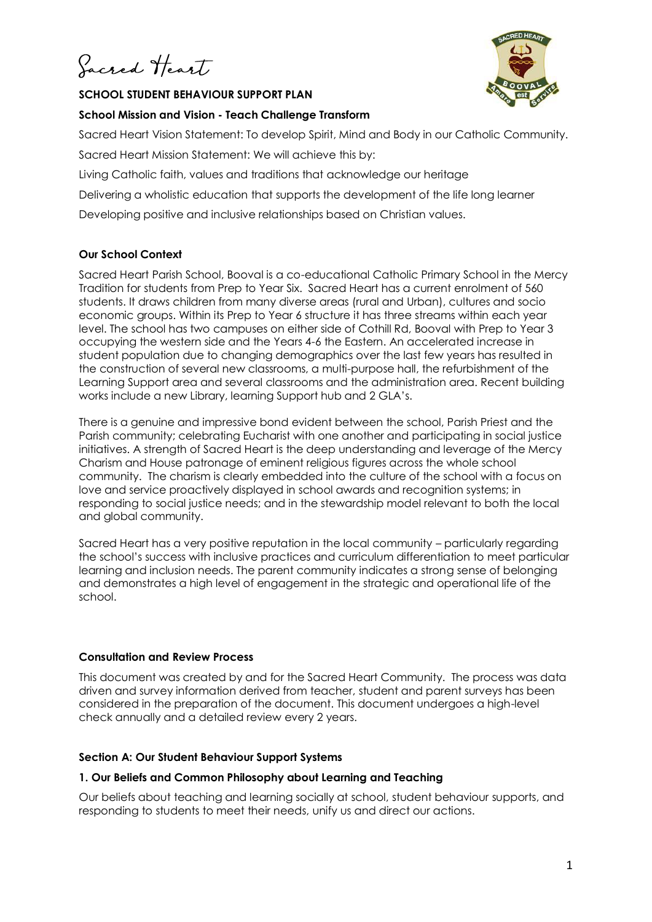Jacred Heart

### **SCHOOL STUDENT BEHAVIOUR SUPPORT PLAN**



### **School Mission and Vision - Teach Challenge Transform**

Sacred Heart Vision Statement: To develop Spirit, Mind and Body in our Catholic Community. Sacred Heart Mission Statement: We will achieve this by:

Living Catholic faith, values and traditions that acknowledge our heritage

Delivering a wholistic education that supports the development of the life long learner

Developing positive and inclusive relationships based on Christian values.

# **Our School Context**

Sacred Heart Parish School, Booval is a co-educational Catholic Primary School in the Mercy Tradition for students from Prep to Year Six. Sacred Heart has a current enrolment of 560 students. It draws children from many diverse areas (rural and Urban), cultures and socio economic groups. Within its Prep to Year 6 structure it has three streams within each year level. The school has two campuses on either side of Cothill Rd, Booval with Prep to Year 3 occupying the western side and the Years 4-6 the Eastern. An accelerated increase in student population due to changing demographics over the last few years has resulted in the construction of several new classrooms, a multi-purpose hall, the refurbishment of the Learning Support area and several classrooms and the administration area. Recent building works include a new Library, learning Support hub and 2 GLA's.

There is a genuine and impressive bond evident between the school, Parish Priest and the Parish community; celebrating Eucharist with one another and participating in social justice initiatives. A strength of Sacred Heart is the deep understanding and leverage of the Mercy Charism and House patronage of eminent religious figures across the whole school community. The charism is clearly embedded into the culture of the school with a focus on love and service proactively displayed in school awards and recognition systems; in responding to social justice needs; and in the stewardship model relevant to both the local and global community.

Sacred Heart has a very positive reputation in the local community – particularly regarding the school's success with inclusive practices and curriculum differentiation to meet particular learning and inclusion needs. The parent community indicates a strong sense of belonging and demonstrates a high level of engagement in the strategic and operational life of the school.

# **Consultation and Review Process**

This document was created by and for the Sacred Heart Community. The process was data driven and survey information derived from teacher, student and parent surveys has been considered in the preparation of the document. This document undergoes a high-level check annually and a detailed review every 2 years.

# **Section A: Our Student Behaviour Support Systems**

## **1. Our Beliefs and Common Philosophy about Learning and Teaching**

Our beliefs about teaching and learning socially at school, student behaviour supports, and responding to students to meet their needs, unify us and direct our actions.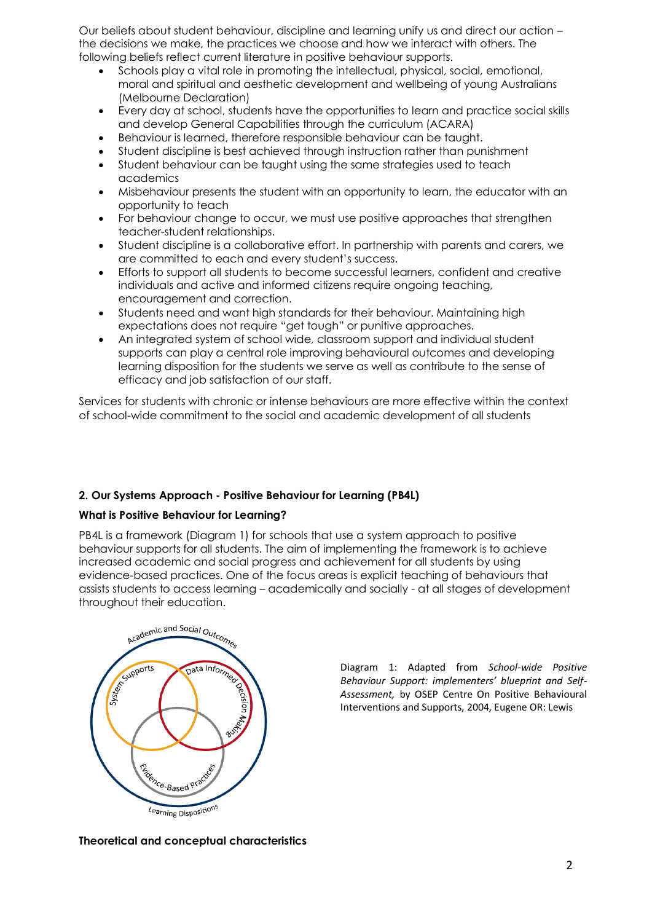Our beliefs about student behaviour, discipline and learning unify us and direct our action – the decisions we make, the practices we choose and how we interact with others. The following beliefs reflect current literature in positive behaviour supports.

- Schools play a vital role in promoting the intellectual, physical, social, emotional, moral and spiritual and aesthetic development and wellbeing of young Australians (Melbourne Declaration)
- Every day at school, students have the opportunities to learn and practice social skills and develop General Capabilities through the curriculum (ACARA)
- Behaviour is learned, therefore responsible behaviour can be taught.
- Student discipline is best achieved through instruction rather than punishment
- Student behaviour can be taught using the same strategies used to teach academics
- Misbehaviour presents the student with an opportunity to learn, the educator with an opportunity to teach
- For behaviour change to occur, we must use positive approaches that strengthen teacher-student relationships.
- Student discipline is a collaborative effort. In partnership with parents and carers, we are committed to each and every student's success.
- Efforts to support all students to become successful learners, confident and creative individuals and active and informed citizens require ongoing teaching, encouragement and correction.
- Students need and want high standards for their behaviour. Maintaining high expectations does not require "get tough" or punitive approaches.
- An integrated system of school wide, classroom support and individual student supports can play a central role improving behavioural outcomes and developing learning disposition for the students we serve as well as contribute to the sense of efficacy and job satisfaction of our staff.

Services for students with chronic or intense behaviours are more effective within the context of school-wide commitment to the social and academic development of all students

## **2. Our Systems Approach - Positive Behaviour for Learning (PB4L)**

## **What is Positive Behaviour for Learning?**

PB4L is a framework (Diagram 1) for schools that use a system approach to positive behaviour supports for all students. The aim of implementing the framework is to achieve increased academic and social progress and achievement for all students by using evidence-based practices. One of the focus areas is explicit teaching of behaviours that assists students to access learning – academically and socially - at all stages of development throughout their education.



Diagram 1: Adapted from *School-wide Positive Behaviour Support: implementers' blueprint and Self-Assessment,* by OSEP Centre On Positive Behavioural Interventions and Supports, 2004, Eugene OR: Lewis

**Theoretical and conceptual characteristics**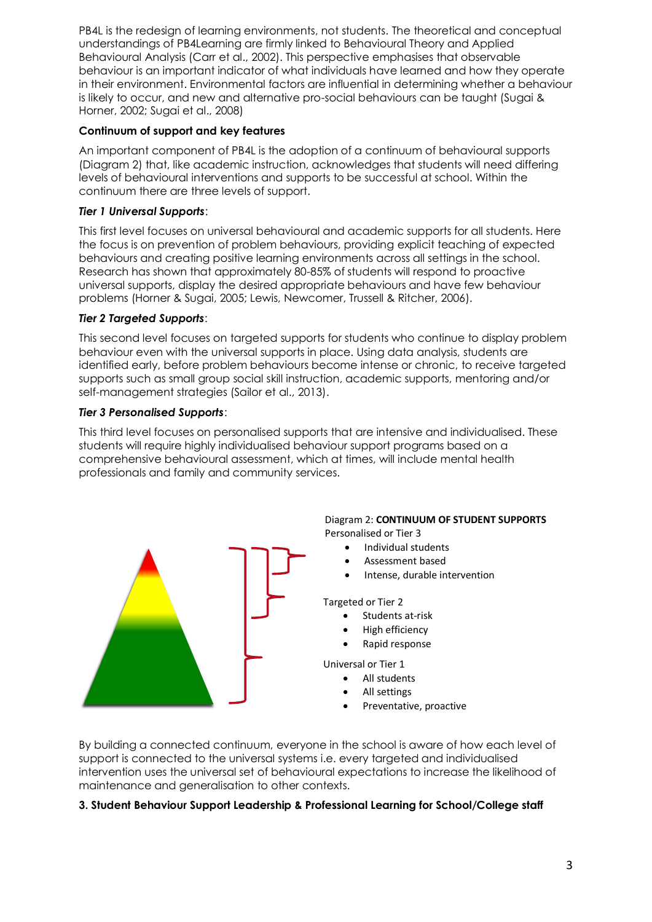PB4L is the redesign of learning environments, not students. The theoretical and conceptual understandings of PB4Learning are firmly linked to Behavioural Theory and Applied Behavioural Analysis (Carr et al., 2002). This perspective emphasises that observable behaviour is an important indicator of what individuals have learned and how they operate in their environment. Environmental factors are influential in determining whether a behaviour is likely to occur, and new and alternative pro-social behaviours can be taught (Sugai & Horner, 2002; Sugai et al., 2008)

# **Continuum of support and key features**

An important component of PB4L is the adoption of a continuum of behavioural supports (Diagram 2) that, like academic instruction, acknowledges that students will need differing levels of behavioural interventions and supports to be successful at school. Within the continuum there are three levels of support.

# *Tier 1 Universal Supports*:

This first level focuses on universal behavioural and academic supports for all students. Here the focus is on prevention of problem behaviours, providing explicit teaching of expected behaviours and creating positive learning environments across all settings in the school. Research has shown that approximately 80-85% of students will respond to proactive universal supports, display the desired appropriate behaviours and have few behaviour problems (Horner & Sugai, 2005; Lewis, Newcomer, Trussell & Ritcher, 2006).

# *Tier 2 Targeted Supports*:

This second level focuses on targeted supports for students who continue to display problem behaviour even with the universal supports in place. Using data analysis, students are identified early, before problem behaviours become intense or chronic, to receive targeted supports such as small group social skill instruction, academic supports, mentoring and/or self-management strategies (Sailor et al., 2013).

## *Tier 3 Personalised Supports*:

This third level focuses on personalised supports that are intensive and individualised. These students will require highly individualised behaviour support programs based on a comprehensive behavioural assessment, which at times, will include mental health professionals and family and community services.



By building a connected continuum, everyone in the school is aware of how each level of support is connected to the universal systems i.e. every targeted and individualised intervention uses the universal set of behavioural expectations to increase the likelihood of maintenance and generalisation to other contexts.

## **3. Student Behaviour Support Leadership & Professional Learning for School/College staff**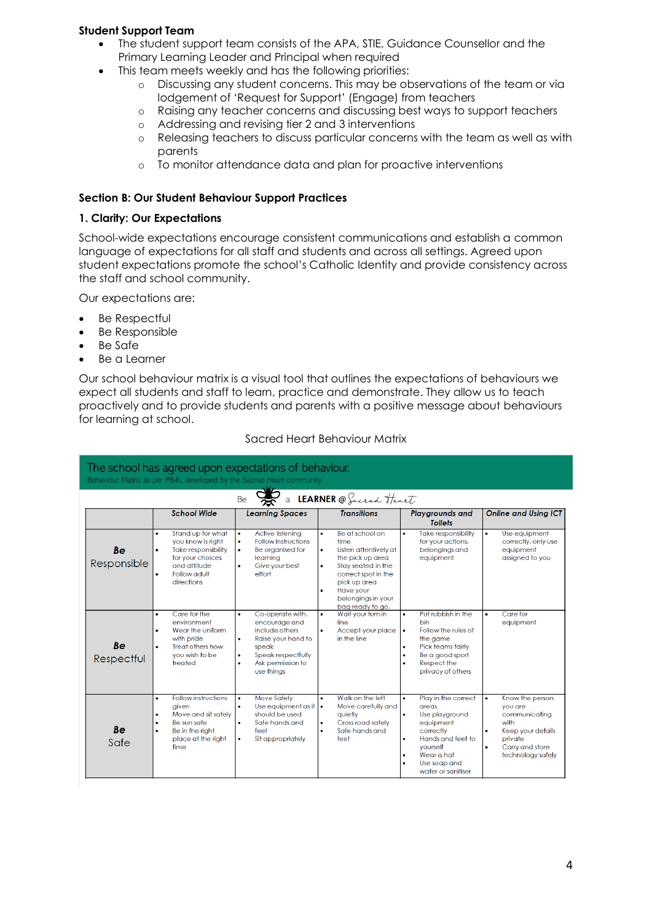### **Student Support Team**

- The student support team consists of the APA, STIE, Guidance Counsellor and the Primary Learning Leader and Principal when required
- This team meets weekly and has the following priorities:
	- o Discussing any student concerns. This may be observations of the team or via lodgement of 'Request for Support' (Engage) from teachers
	- o Raising any teacher concerns and discussing best ways to support teachers
	- o Addressing and revising tier 2 and 3 interventions
	- o Releasing teachers to discuss particular concerns with the team as well as with parents
	- o To monitor attendance data and plan for proactive interventions

#### **Section B: Our Student Behaviour Support Practices**

#### **1. Clarity: Our Expectations**

School-wide expectations encourage consistent communications and establish a common language of expectations for all staff and students and across all settings. Agreed upon student expectations promote the school's Catholic Identity and provide consistency across the staff and school community.

Our expectations are:

- Be Respectful
- Be Responsible
- Be Safe
- Be a Learner

Our school behaviour matrix is a visual tool that outlines the expectations of behaviours we expect all students and staff to learn, practice and demonstrate. They allow us to teach proactively and to provide students and parents with a positive message about behaviours for learning at school.

| The school has agreed upon expectations of behaviour.<br>Behaviour Matrix as per PB4L developed by the Sacred Heart community. |                                                                                                                                                                  |                                                                                                                                                                                 |                                                                                                                                                                                                            |                                                                                                                                                                                                        |                                                                                                                                                                    |  |
|--------------------------------------------------------------------------------------------------------------------------------|------------------------------------------------------------------------------------------------------------------------------------------------------------------|---------------------------------------------------------------------------------------------------------------------------------------------------------------------------------|------------------------------------------------------------------------------------------------------------------------------------------------------------------------------------------------------------|--------------------------------------------------------------------------------------------------------------------------------------------------------------------------------------------------------|--------------------------------------------------------------------------------------------------------------------------------------------------------------------|--|
| a LEARNER @ Sacred Heart<br>Be                                                                                                 |                                                                                                                                                                  |                                                                                                                                                                                 |                                                                                                                                                                                                            |                                                                                                                                                                                                        |                                                                                                                                                                    |  |
| <b>School Wide</b>                                                                                                             |                                                                                                                                                                  | <b>Transitions</b><br><b>Learning Spaces</b>                                                                                                                                    |                                                                                                                                                                                                            | <b>Playgrounds and</b><br><b>Toilets</b>                                                                                                                                                               | <b>Online and Usina ICT</b>                                                                                                                                        |  |
| <b>Be</b><br>Responsible                                                                                                       | Stand up for what<br>$\bullet$<br>you know is right<br><b>Take responsibility</b><br>$\bullet$<br>for your choices<br>and attitude<br>Follow adult<br>directions | Active listening<br>$\bullet$<br><b>Follow instructions</b><br>$\bullet$<br>Be organised for<br>$\bullet$<br>learning<br>Give your best<br>۰<br>effort                          | Be at school on<br>$\bullet$<br>time<br>Listen attentively at<br>the pick up area<br>Stav seated in the<br>٠<br>correct spot in the<br>pick up area<br>Have your<br>belongings in your<br>bag ready to go. | Take responsibility<br>$\bullet$<br>for your actions,<br>belongings and<br>equipment                                                                                                                   | Use equipment<br>$\bullet$<br>correctly, only use<br>equipment<br>assigned to you                                                                                  |  |
| <b>Be</b><br>Respectful                                                                                                        | Care for the<br>٠<br>environment<br>Wear the uniform<br>٠<br>with pride<br>Treat others how<br>you wish to be<br>treated                                         | Co-operate with,<br>$\bullet$<br>encourage and<br>include others<br>Raise your hand to<br>۰<br>speak<br>Speak respectfully<br>۰<br>Ask permission to<br>$\bullet$<br>use things | Wait your turn in<br>۰<br>line<br>Accept your place<br>in the line                                                                                                                                         | Put rubbish in the<br>ò<br>bin<br>Follow the rules of<br>$\bullet$<br>the game<br>Pick teams fairly<br>۰<br>Be a good sport<br>۰<br>Respect the<br>privacy of others                                   | Care for<br>$\bullet$<br>equipment                                                                                                                                 |  |
| <b>Be</b><br>Safe                                                                                                              | <b>Follow instructions</b><br>٠<br>aiven<br>Move and sit safely<br>٠<br>Be sun safe<br>۰<br>Be in the right<br>place at the right<br>time                        | <b>Move Safely</b><br>$\bullet$<br>Use equipment as it $\cdot$<br>$\bullet$<br>should be used<br>Safe hands and<br>۰<br>feet<br>Sit appropriately<br>$\bullet$                  | Walk on the left<br>Move carefully and<br>quietly<br>Cross road safely<br>Safe hands and<br>feet                                                                                                           | Play in the correct<br>$\bullet$<br>areas<br>Use playground<br>$\bullet$<br>equipment<br>correctly<br>Hands and feet to<br>۰<br>vourself<br>Wear a hat<br>۰<br>Use soap and<br>۵<br>water or sanitiser | Know the person<br>$\bullet$<br>vou are<br>communicating<br>with<br>Keep your details<br>$\bullet$<br>private<br>Carry and store<br>$\bullet$<br>technology safely |  |

#### Sacred Heart Behaviour Matrix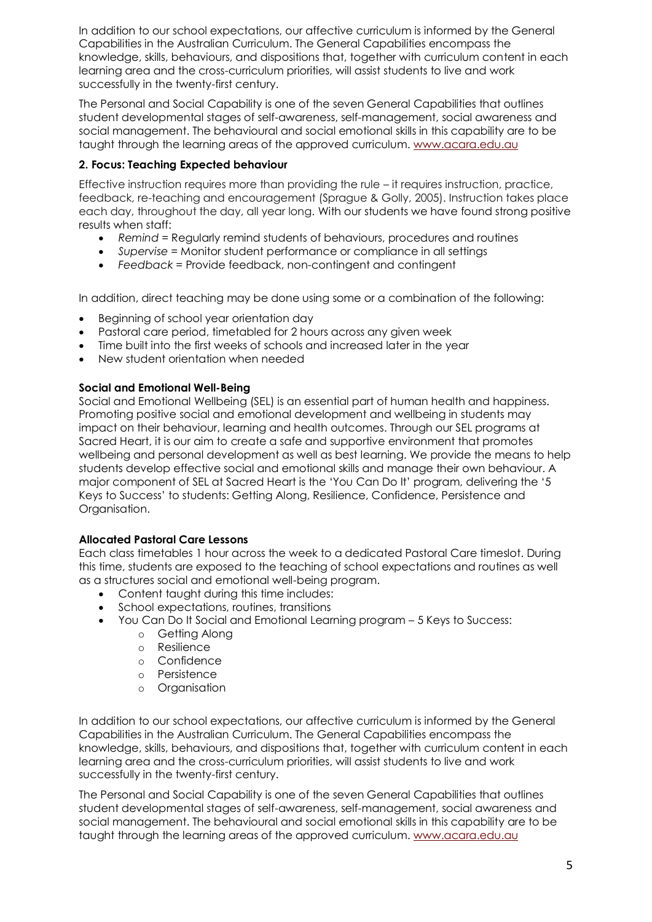In addition to our school expectations, our affective curriculum is informed by the General Capabilities in the Australian Curriculum. The General Capabilities encompass the knowledge, skills, behaviours, and dispositions that, together with curriculum content in each learning area and the cross-curriculum priorities, will assist students to live and work successfully in the twenty-first century.

The Personal and Social Capability is one of the seven General Capabilities that outlines student developmental stages of self-awareness, self-management, social awareness and social management. The behavioural and social emotional skills in this capability are to be taught through the learning areas of the approved curriculum. [www.acara.edu.au](http://www.acara.edu.au/)

# **2. Focus: Teaching Expected behaviour**

Effective instruction requires more than providing the rule – it requires instruction, practice, feedback, re-teaching and encouragement (Sprague & Golly, 2005). Instruction takes place each day, throughout the day, all year long. With our students we have found strong positive results when staff:

- *Remind =* Regularly remind students of behaviours, procedures and routines
- *Supervise =* Monitor student performance or compliance in all settings
- *Feedback =* Provide feedback, non-contingent and contingent

In addition, direct teaching may be done using some or a combination of the following:

- Beginning of school year orientation day
- Pastoral care period, timetabled for 2 hours across any given week
- Time built into the first weeks of schools and increased later in the year
- New student orientation when needed

### **Social and Emotional Well-Being**

Social and Emotional Wellbeing (SEL) is an essential part of human health and happiness. Promoting positive social and emotional development and wellbeing in students may impact on their behaviour, learning and health outcomes. Through our SEL programs at Sacred Heart, it is our aim to create a safe and supportive environment that promotes wellbeing and personal development as well as best learning. We provide the means to help students develop effective social and emotional skills and manage their own behaviour. A major component of SEL at Sacred Heart is the 'You Can Do It' program, delivering the '5 Keys to Success' to students: Getting Along, Resilience, Confidence, Persistence and Organisation.

## **Allocated Pastoral Care Lessons**

Each class timetables 1 hour across the week to a dedicated Pastoral Care timeslot. During this time, students are exposed to the teaching of school expectations and routines as well as a structures social and emotional well-being program.

- Content taught during this time includes:
- School expectations, routines, transitions
- You Can Do It Social and Emotional Learning program 5 Keys to Success:
	- o Getting Along
	- o Resilience
	- o Confidence
	- o Persistence
	- o Organisation

In addition to our school expectations, our affective curriculum is informed by the General Capabilities in the Australian Curriculum. The General Capabilities encompass the knowledge, skills, behaviours, and dispositions that, together with curriculum content in each learning area and the cross-curriculum priorities, will assist students to live and work successfully in the twenty-first century.

The Personal and Social Capability is one of the seven General Capabilities that outlines student developmental stages of self-awareness, self-management, social awareness and social management. The behavioural and social emotional skills in this capability are to be taught through the learning areas of the approved curriculum. [www.acara.edu.au](http://www.acara.edu.au/)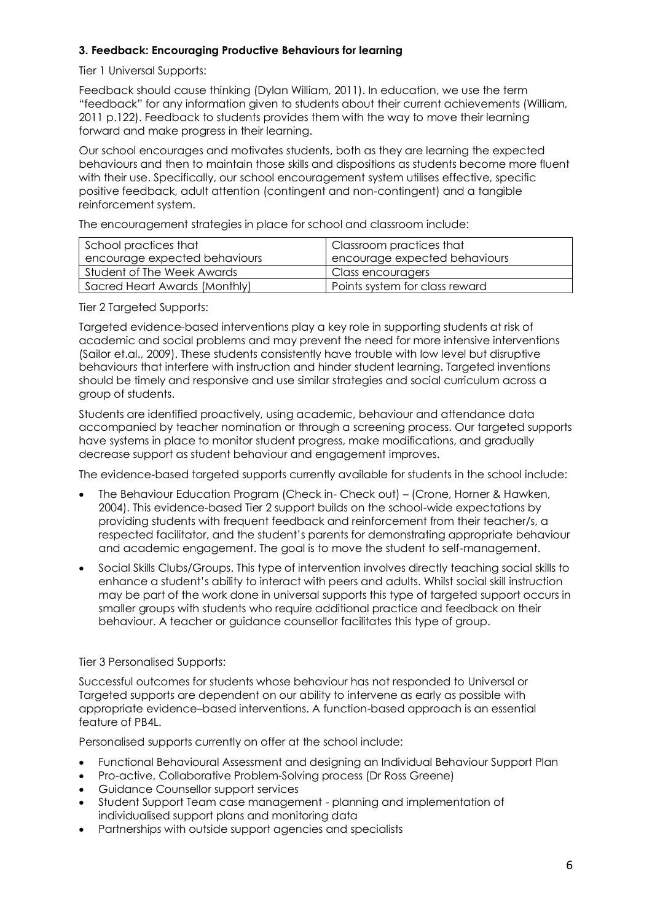# **3. Feedback: Encouraging Productive Behaviours for learning**

Tier 1 Universal Supports:

Feedback should cause thinking (Dylan William, 2011). In education, we use the term "feedback" for any information given to students about their current achievements (William, 2011 p.122). Feedback to students provides them with the way to move their learning forward and make progress in their learning.

Our school encourages and motivates students, both as they are learning the expected behaviours and then to maintain those skills and dispositions as students become more fluent with their use. Specifically, our school encouragement system utilises effective, specific positive feedback, adult attention (contingent and non-contingent) and a tangible reinforcement system.

The encouragement strategies in place for school and classroom include:

| School practices that         | Classroom practices that       |
|-------------------------------|--------------------------------|
| encourage expected behaviours | encourage expected behaviours  |
| Student of The Week Awards    | Class encouragers              |
| Sacred Heart Awards (Monthly) | Points system for class reward |

Tier 2 Targeted Supports:

Targeted evidence-based interventions play a key role in supporting students at risk of academic and social problems and may prevent the need for more intensive interventions (Sailor et.al., 2009). These students consistently have trouble with low level but disruptive behaviours that interfere with instruction and hinder student learning. Targeted inventions should be timely and responsive and use similar strategies and social curriculum across a group of students.

Students are identified proactively, using academic, behaviour and attendance data accompanied by teacher nomination or through a screening process. Our targeted supports have systems in place to monitor student progress, make modifications, and gradually decrease support as student behaviour and engagement improves.

The evidence-based targeted supports currently available for students in the school include:

- The Behaviour Education Program (Check in- Check out) (Crone, Horner & Hawken, 2004). This evidence-based Tier 2 support builds on the school-wide expectations by providing students with frequent feedback and reinforcement from their teacher/s, a respected facilitator, and the student's parents for demonstrating appropriate behaviour and academic engagement. The goal is to move the student to self-management.
- Social Skills Clubs/Groups. This type of intervention involves directly teaching social skills to enhance a student's ability to interact with peers and adults. Whilst social skill instruction may be part of the work done in universal supports this type of targeted support occurs in smaller groups with students who require additional practice and feedback on their behaviour. A teacher or guidance counsellor facilitates this type of group.

## Tier 3 Personalised Supports:

Successful outcomes for students whose behaviour has not responded to Universal or Targeted supports are dependent on our ability to intervene as early as possible with appropriate evidence–based interventions. A function-based approach is an essential feature of PB4L.

Personalised supports currently on offer at the school include:

- Functional Behavioural Assessment and designing an Individual Behaviour Support Plan
- Pro-active, Collaborative Problem-Solving process (Dr Ross Greene)
- Guidance Counsellor support services
- Student Support Team case management planning and implementation of individualised support plans and monitoring data
- Partnerships with outside support agencies and specialists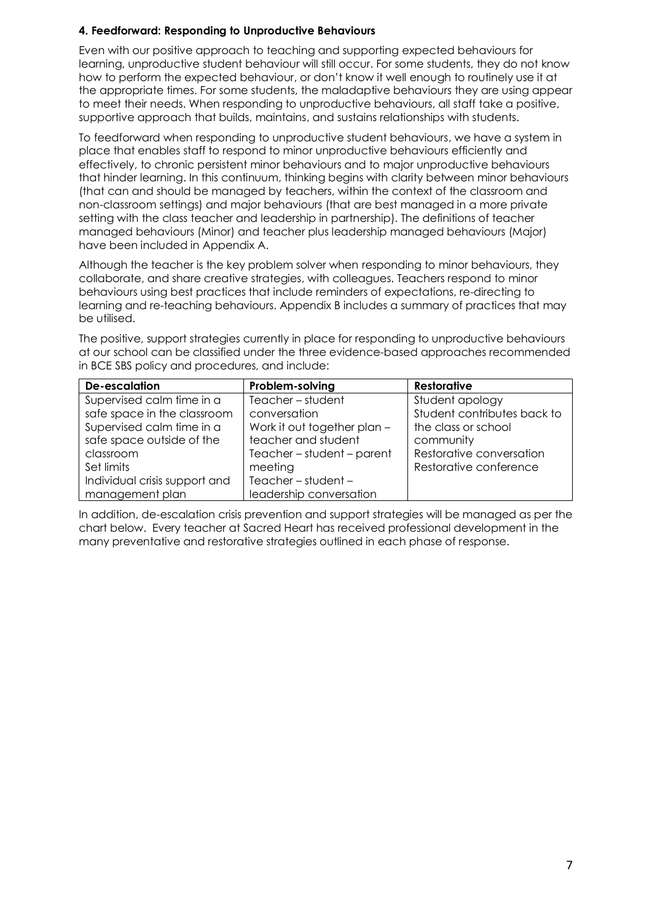# **4. Feedforward: Responding to Unproductive Behaviours**

Even with our positive approach to teaching and supporting expected behaviours for learning, unproductive student behaviour will still occur. For some students, they do not know how to perform the expected behaviour, or don't know it well enough to routinely use it at the appropriate times. For some students, the maladaptive behaviours they are using appear to meet their needs. When responding to unproductive behaviours, all staff take a positive, supportive approach that builds, maintains, and sustains relationships with students.

To feedforward when responding to unproductive student behaviours, we have a system in place that enables staff to respond to minor unproductive behaviours efficiently and effectively, to chronic persistent minor behaviours and to major unproductive behaviours that hinder learning. In this continuum, thinking begins with clarity between minor behaviours (that can and should be managed by teachers, within the context of the classroom and non-classroom settings) and major behaviours (that are best managed in a more private setting with the class teacher and leadership in partnership). The definitions of teacher managed behaviours (Minor) and teacher plus leadership managed behaviours (Major) have been included in Appendix A.

Although the teacher is the key problem solver when responding to minor behaviours, they collaborate, and share creative strategies, with colleagues. Teachers respond to minor behaviours using best practices that include reminders of expectations, re-directing to learning and re-teaching behaviours. Appendix B includes a summary of practices that may be utilised.

The positive, support strategies currently in place for responding to unproductive behaviours at our school can be classified under the three evidence-based approaches recommended in BCE SBS policy and procedures, and include:

| <b>De-escalation</b>          | Problem-solving              | <b>Restorative</b>          |
|-------------------------------|------------------------------|-----------------------------|
| Supervised calm time in a     | Teacher-student              | Student apology             |
| safe space in the classroom   | conversation                 | Student contributes back to |
| Supervised calm time in a     | Work it out together plan -  | the class or school         |
| safe space outside of the     | teacher and student          | community                   |
| classroom                     | $Teacher - student - parent$ | Restorative conversation    |
| Set limits                    | meeting                      | Restorative conference      |
| Individual crisis support and | Teacher $-$ student $-$      |                             |
| management plan               | leadership conversation      |                             |

In addition, de-escalation crisis prevention and support strategies will be managed as per the chart below. Every teacher at Sacred Heart has received professional development in the many preventative and restorative strategies outlined in each phase of response.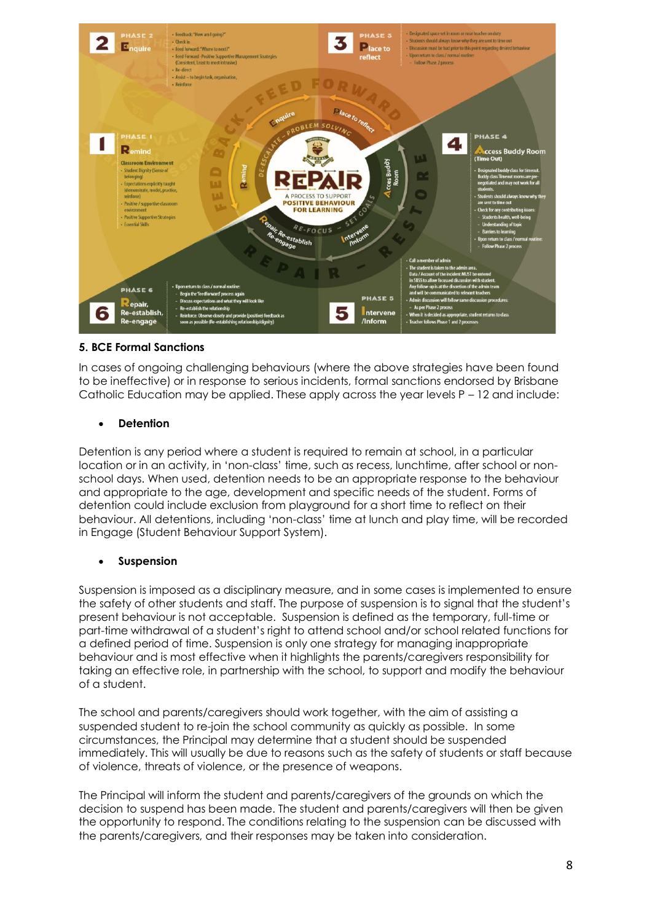

## **5. BCE Formal Sanctions**

In cases of ongoing challenging behaviours (where the above strategies have been found to be ineffective) or in response to serious incidents, formal sanctions endorsed by Brisbane Catholic Education may be applied. These apply across the year levels P – 12 and include:

### • **Detention**

Detention is any period where a student is required to remain at school, in a particular location or in an activity, in 'non-class' time, such as recess, lunchtime, after school or nonschool days. When used, detention needs to be an appropriate response to the behaviour and appropriate to the age, development and specific needs of the student. Forms of detention could include exclusion from playground for a short time to reflect on their behaviour. All detentions, including 'non-class' time at lunch and play time, will be recorded in Engage (Student Behaviour Support System).

#### • **Suspension**

Suspension is imposed as a disciplinary measure, and in some cases is implemented to ensure the safety of other students and staff. The purpose of suspension is to signal that the student's present behaviour is not acceptable. Suspension is defined as the temporary, full-time or part-time withdrawal of a student's right to attend school and/or school related functions for a defined period of time. Suspension is only one strategy for managing inappropriate behaviour and is most effective when it highlights the parents/caregivers responsibility for taking an effective role, in partnership with the school, to support and modify the behaviour of a student.

The school and parents/caregivers should work together, with the aim of assisting a suspended student to re-join the school community as quickly as possible. In some circumstances, the Principal may determine that a student should be suspended immediately. This will usually be due to reasons such as the safety of students or staff because of violence, threats of violence, or the presence of weapons.

The Principal will inform the student and parents/caregivers of the grounds on which the decision to suspend has been made. The student and parents/caregivers will then be given the opportunity to respond. The conditions relating to the suspension can be discussed with the parents/caregivers, and their responses may be taken into consideration.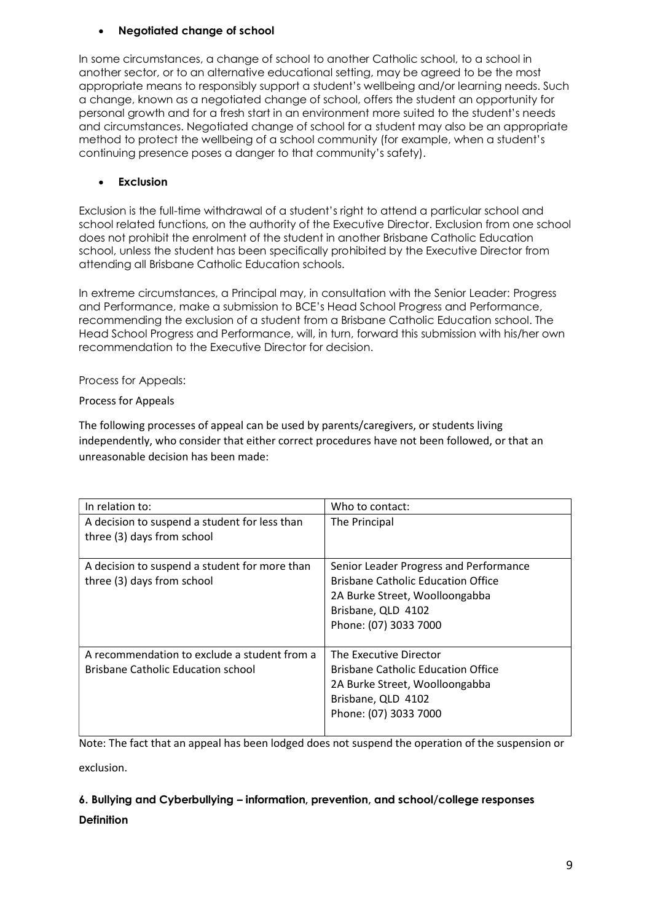# • **Negotiated change of school**

In some circumstances, a change of school to another Catholic school, to a school in another sector, or to an alternative educational setting, may be agreed to be the most appropriate means to responsibly support a student's wellbeing and/or learning needs. Such a change, known as a negotiated change of school, offers the student an opportunity for personal growth and for a fresh start in an environment more suited to the student's needs and circumstances. Negotiated change of school for a student may also be an appropriate method to protect the wellbeing of a school community (for example, when a student's continuing presence poses a danger to that community's safety).

# • **Exclusion**

Exclusion is the full-time withdrawal of a student's right to attend a particular school and school related functions, on the authority of the Executive Director. Exclusion from one school does not prohibit the enrolment of the student in another Brisbane Catholic Education school, unless the student has been specifically prohibited by the Executive Director from attending all Brisbane Catholic Education schools.

In extreme circumstances, a Principal may, in consultation with the Senior Leader: Progress and Performance, make a submission to BCE's Head School Progress and Performance, recommending the exclusion of a student from a Brisbane Catholic Education school. The Head School Progress and Performance, will, in turn, forward this submission with his/her own recommendation to the Executive Director for decision.

## Process for Appeals:

# Process for Appeals

The following processes of appeal can be used by parents/caregivers, or students living independently, who consider that either correct procedures have not been followed, or that an unreasonable decision has been made:

| In relation to:                                                                           | Who to contact:                                                                                                                                                      |
|-------------------------------------------------------------------------------------------|----------------------------------------------------------------------------------------------------------------------------------------------------------------------|
| A decision to suspend a student for less than<br>three (3) days from school               | The Principal                                                                                                                                                        |
| A decision to suspend a student for more than<br>three (3) days from school               | Senior Leader Progress and Performance<br><b>Brisbane Catholic Education Office</b><br>2A Burke Street, Woolloongabba<br>Brisbane, QLD 4102<br>Phone: (07) 3033 7000 |
| A recommendation to exclude a student from a<br><b>Brisbane Catholic Education school</b> | The Executive Director<br><b>Brisbane Catholic Education Office</b><br>2A Burke Street, Woolloongabba<br>Brisbane, QLD 4102<br>Phone: (07) 3033 7000                 |

Note: The fact that an appeal has been lodged does not suspend the operation of the suspension or

exclusion.

# **6. Bullying and Cyberbullying – information, prevention, and school/college responses Definition**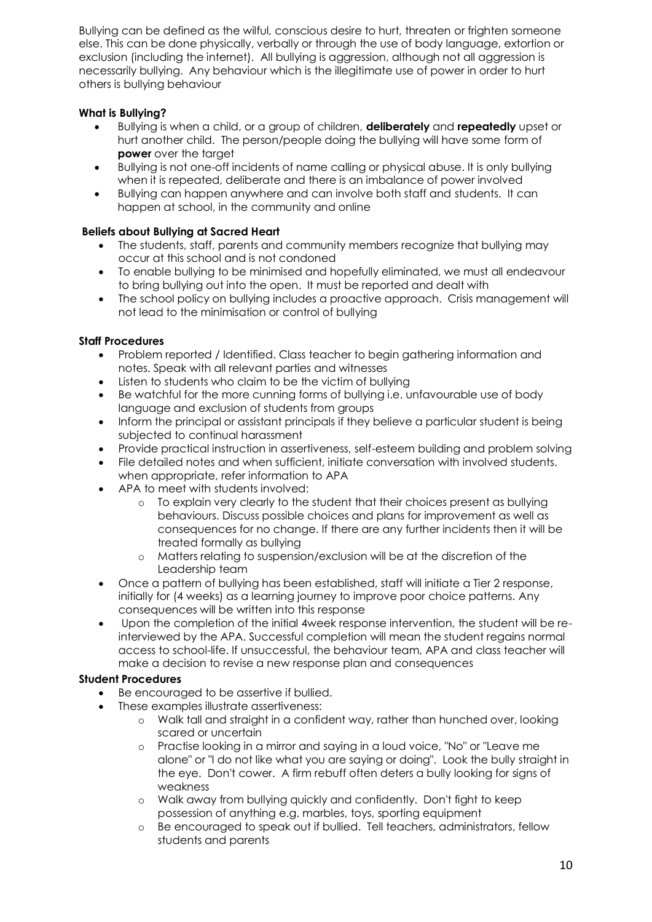Bullying can be defined as the wilful, conscious desire to hurt, threaten or frighten someone else. This can be done physically, verbally or through the use of body language, extortion or exclusion (including the internet). All bullying is aggression, although not all aggression is necessarily bullying. Any behaviour which is the illegitimate use of power in order to hurt others is bullying behaviour

# **What is Bullying?**

- Bullying is when a child, or a group of children, **deliberately** and **repeatedly** upset or hurt another child. The person/people doing the bullying will have some form of **power** over the target
- Bullying is not one-off incidents of name calling or physical abuse. It is only bullying when it is repeated, deliberate and there is an imbalance of power involved
- Bullying can happen anywhere and can involve both staff and students. It can happen at school, in the community and online

# **Beliefs about Bullying at Sacred Heart**

- The students, staff, parents and community members recognize that bullying may occur at this school and is not condoned
- To enable bullying to be minimised and hopefully eliminated, we must all endeavour to bring bullying out into the open. It must be reported and dealt with
- The school policy on bullying includes a proactive approach. Crisis management will not lead to the minimisation or control of bullying

# **Staff Procedures**

- Problem reported / Identified. Class teacher to begin gathering information and notes. Speak with all relevant parties and witnesses
- Listen to students who claim to be the victim of bullying
- Be watchful for the more cunning forms of bullying i.e. unfavourable use of body language and exclusion of students from groups
- Inform the principal or assistant principals if they believe a particular student is being subjected to continual harassment
- Provide practical instruction in assertiveness, self-esteem building and problem solving
- File detailed notes and when sufficient, initiate conversation with involved students. when appropriate, refer information to APA
- APA to meet with students involved:
	- o To explain very clearly to the student that their choices present as bullying behaviours. Discuss possible choices and plans for improvement as well as consequences for no change. If there are any further incidents then it will be treated formally as bullying
	- o Matters relating to suspension/exclusion will be at the discretion of the Leadership team
- Once a pattern of bullying has been established, staff will initiate a Tier 2 response, initially for (4 weeks) as a learning journey to improve poor choice patterns. Any consequences will be written into this response
- Upon the completion of the initial 4week response intervention, the student will be reinterviewed by the APA. Successful completion will mean the student regains normal access to school-life. If unsuccessful, the behaviour team, APA and class teacher will make a decision to revise a new response plan and consequences

## **Student Procedures**

- Be encouraged to be assertive if bullied.
	- These examples illustrate assertiveness:
		- o Walk tall and straight in a confident way, rather than hunched over, looking scared or uncertain
		- o Practise looking in a mirror and saying in a loud voice, "No" or "Leave me alone" or "I do not like what you are saying or doing". Look the bully straight in the eye. Don't cower. A firm rebuff often deters a bully looking for signs of weakness
		- o Walk away from bullying quickly and confidently. Don't fight to keep possession of anything e.g. marbles, toys, sporting equipment
		- o Be encouraged to speak out if bullied. Tell teachers, administrators, fellow students and parents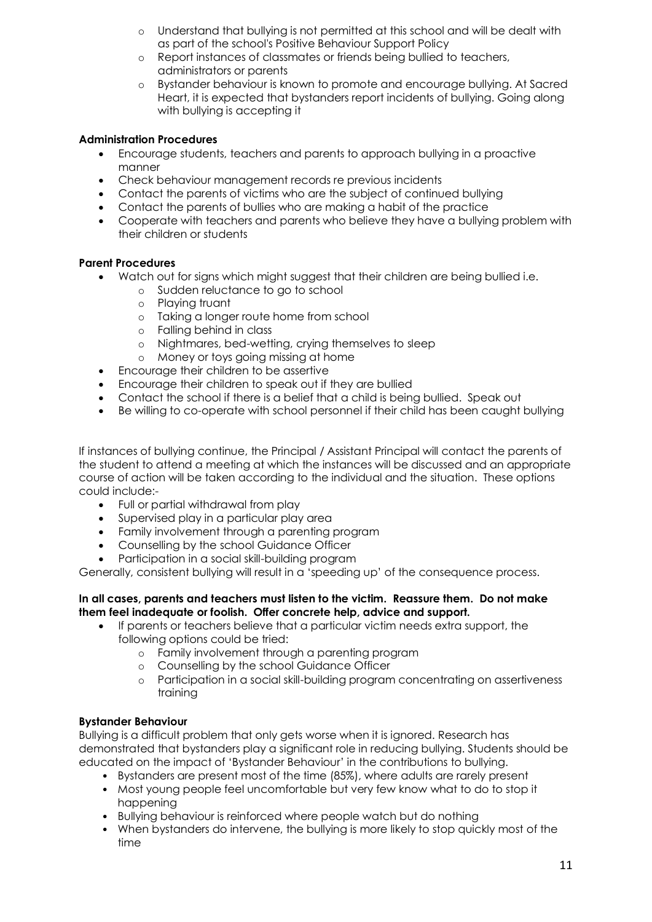- o Understand that bullying is not permitted at this school and will be dealt with as part of the school's Positive Behaviour Support Policy
- o Report instances of classmates or friends being bullied to teachers, administrators or parents
- o Bystander behaviour is known to promote and encourage bullying. At Sacred Heart, it is expected that bystanders report incidents of bullying. Going along with bullying is accepting it

# **Administration Procedures**

- Encourage students, teachers and parents to approach bullying in a proactive manner
- Check behaviour management records re previous incidents
- Contact the parents of victims who are the subject of continued bullying
- Contact the parents of bullies who are making a habit of the practice
- Cooperate with teachers and parents who believe they have a bullying problem with their children or students

## **Parent Procedures**

- Watch out for signs which might suggest that their children are being bullied i.e.
	- o Sudden reluctance to go to school
	- o Playing truant
	- o Taking a longer route home from school
	- o Falling behind in class
	- o Nightmares, bed-wetting, crying themselves to sleep
	- o Money or toys going missing at home
- Encourage their children to be assertive
- Encourage their children to speak out if they are bullied
- Contact the school if there is a belief that a child is being bullied. Speak out
- Be willing to co-operate with school personnel if their child has been caught bullying

If instances of bullying continue, the Principal / Assistant Principal will contact the parents of the student to attend a meeting at which the instances will be discussed and an appropriate course of action will be taken according to the individual and the situation. These options could include:-

- Full or partial withdrawal from play
- Supervised play in a particular play area
- Family involvement through a parenting program
- Counselling by the school Guidance Officer
- Participation in a social skill-building program

Generally, consistent bullying will result in a 'speeding up' of the consequence process.

### **In all cases, parents and teachers must listen to the victim. Reassure them. Do not make them feel inadequate or foolish. Offer concrete help, advice and support.**

- If parents or teachers believe that a particular victim needs extra support, the following options could be tried:
	- o Family involvement through a parenting program
	- o Counselling by the school Guidance Officer
	- o Participation in a social skill-building program concentrating on assertiveness training

# **Bystander Behaviour**

Bullying is a difficult problem that only gets worse when it is ignored. Research has demonstrated that bystanders play a significant role in reducing bullying. Students should be educated on the impact of 'Bystander Behaviour' in the contributions to bullying.

- Bystanders are present most of the time (85%), where adults are rarely present
- Most young people feel uncomfortable but very few know what to do to stop it happening
- Bullying behaviour is reinforced where people watch but do nothing
- When bystanders do intervene, the bullying is more likely to stop quickly most of the time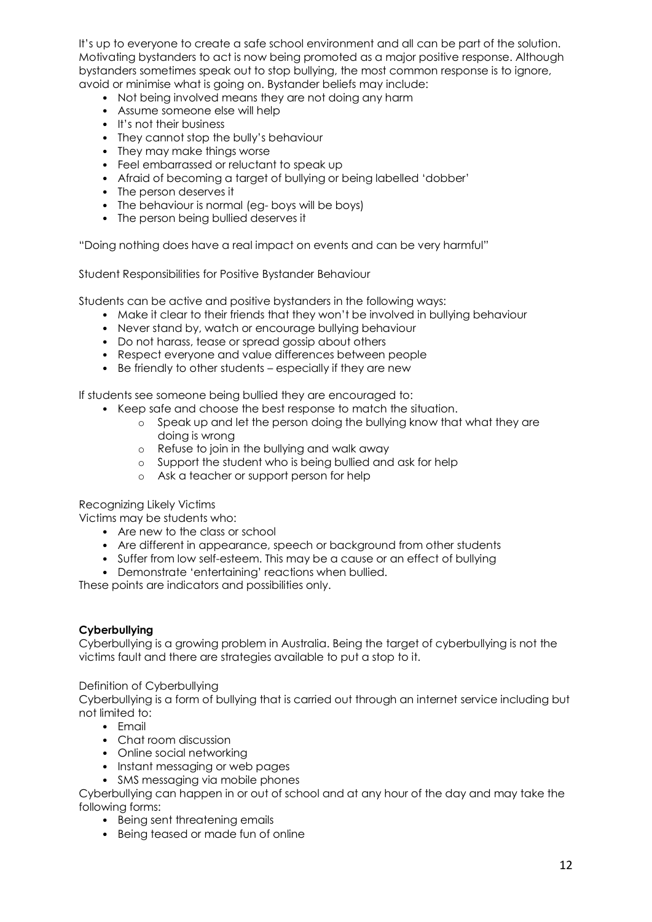It's up to everyone to create a safe school environment and all can be part of the solution. Motivating bystanders to act is now being promoted as a major positive response. Although bystanders sometimes speak out to stop bullying, the most common response is to ignore, avoid or minimise what is going on. Bystander beliefs may include:

- Not being involved means they are not doing any harm
- Assume someone else will help
- It's not their business
- They cannot stop the bully's behaviour
- They may make things worse
- Feel embarrassed or reluctant to speak up
- Afraid of becoming a target of bullying or being labelled 'dobber'
- The person deserves it
- The behaviour is normal (eg- boys will be boys)
- The person being bullied deserves it

"Doing nothing does have a real impact on events and can be very harmful"

Student Responsibilities for Positive Bystander Behaviour

Students can be active and positive bystanders in the following ways:

- Make it clear to their friends that they won't be involved in bullying behaviour
- Never stand by, watch or encourage bullying behaviour
- Do not harass, tease or spread gossip about others
- Respect everyone and value differences between people
- Be friendly to other students especially if they are new

If students see someone being bullied they are encouraged to:

- Keep safe and choose the best response to match the situation.
	- o Speak up and let the person doing the bullying know that what they are doing is wrong
	- o Refuse to join in the bullying and walk away
	- o Support the student who is being bullied and ask for help
	- o Ask a teacher or support person for help

Recognizing Likely Victims

Victims may be students who:

- Are new to the class or school
- Are different in appearance, speech or background from other students
- Suffer from low self-esteem. This may be a cause or an effect of bullying
- Demonstrate 'entertaining' reactions when bullied.

These points are indicators and possibilities only.

#### **Cyberbullying**

Cyberbullying is a growing problem in Australia. Being the target of cyberbullying is not the victims fault and there are strategies available to put a stop to it.

#### Definition of Cyberbullying

Cyberbullying is a form of bullying that is carried out through an internet service including but not limited to:

- Email
- Chat room discussion
- Online social networking
- Instant messaging or web pages
- SMS messaging via mobile phones

Cyberbullying can happen in or out of school and at any hour of the day and may take the following forms:

- Being sent threatening emails
- Being teased or made fun of online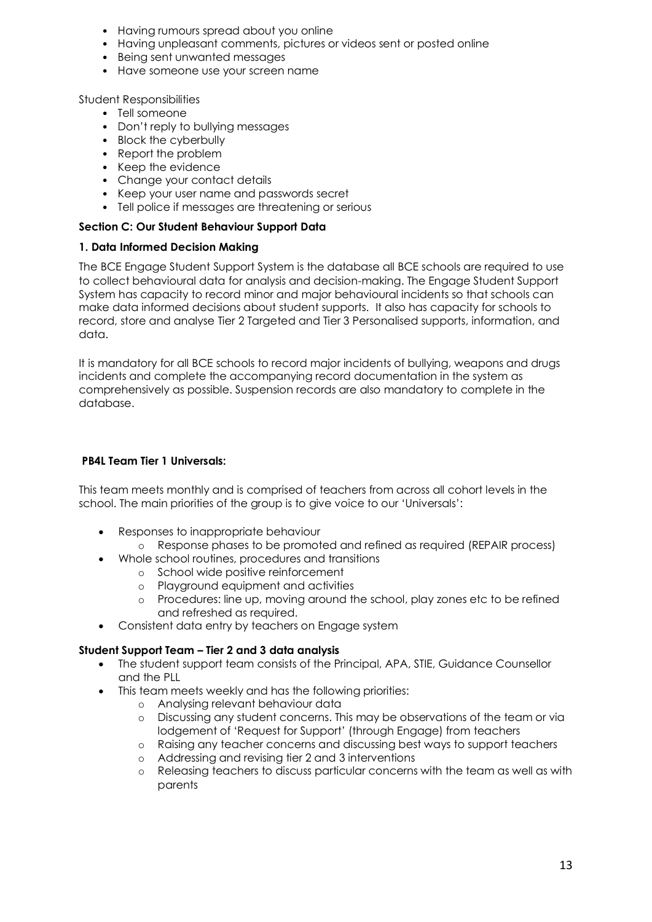- Having rumours spread about you online
- Having unpleasant comments, pictures or videos sent or posted online
- Being sent unwanted messages
- Have someone use your screen name

#### Student Responsibilities

- Tell someone
- Don't reply to bullying messages
- Block the cyberbully
- Report the problem
- Keep the evidence
- Change your contact details
- Keep your user name and passwords secret
- Tell police if messages are threatening or serious

#### **Section C: Our Student Behaviour Support Data**

### **1. Data Informed Decision Making**

The BCE Engage Student Support System is the database all BCE schools are required to use to collect behavioural data for analysis and decision-making. The Engage Student Support System has capacity to record minor and major behavioural incidents so that schools can make data informed decisions about student supports. It also has capacity for schools to record, store and analyse Tier 2 Targeted and Tier 3 Personalised supports, information, and data.

It is mandatory for all BCE schools to record major incidents of bullying, weapons and drugs incidents and complete the accompanying record documentation in the system as comprehensively as possible. Suspension records are also mandatory to complete in the database.

### **PB4L Team Tier 1 Universals:**

This team meets monthly and is comprised of teachers from across all cohort levels in the school. The main priorities of the group is to give voice to our 'Universals':

- Responses to inappropriate behaviour
	- o Response phases to be promoted and refined as required (REPAIR process)
- Whole school routines, procedures and transitions
	- o School wide positive reinforcement
	- o Playground equipment and activities
	- o Procedures: line up, moving around the school, play zones etc to be refined and refreshed as required.
- Consistent data entry by teachers on Engage system

## **Student Support Team – Tier 2 and 3 data analysis**

- The student support team consists of the Principal, APA, STIE, Guidance Counsellor and the PLL
- This team meets weekly and has the following priorities:
	- o Analysing relevant behaviour data
	- o Discussing any student concerns. This may be observations of the team or via lodgement of 'Request for Support' (through Engage) from teachers
	- o Raising any teacher concerns and discussing best ways to support teachers
	- Addressing and revising tier 2 and 3 interventions
	- o Releasing teachers to discuss particular concerns with the team as well as with parents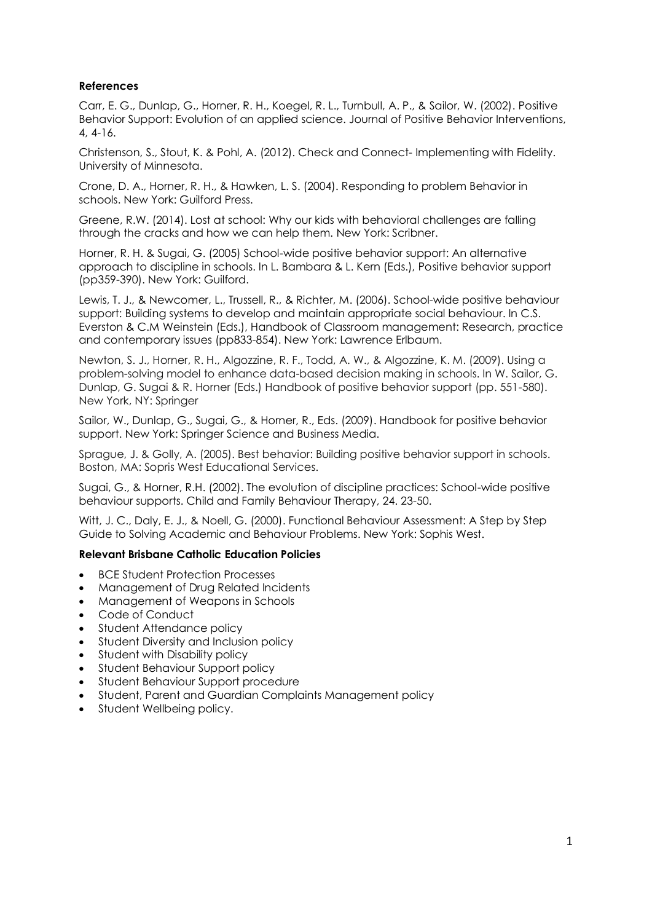### **References**

Carr, E. G., Dunlap, G., Horner, R. H., Koegel, R. L., Turnbull, A. P., & Sailor, W. (2002). Positive Behavior Support: Evolution of an applied science. Journal of Positive Behavior Interventions, 4, 4-16.

Christenson, S., Stout, K. & Pohl, A. (2012). Check and Connect- Implementing with Fidelity. University of Minnesota.

Crone, D. A., Horner, R. H., & Hawken, L. S. (2004). Responding to problem Behavior in schools. New York: Guilford Press.

Greene, R.W. (2014). Lost at school: Why our kids with behavioral challenges are falling through the cracks and how we can help them. New York: Scribner.

Horner, R. H. & Sugai, G. (2005) School-wide positive behavior support: An alternative approach to discipline in schools. In L. Bambara & L. Kern (Eds.), Positive behavior support (pp359-390). New York: Guilford.

Lewis, T. J., & Newcomer, L., Trussell, R., & Richter, M. (2006). School-wide positive behaviour support: Building systems to develop and maintain appropriate social behaviour. In C.S. Everston & C.M Weinstein (Eds.), Handbook of Classroom management: Research, practice and contemporary issues (pp833-854). New York: Lawrence Erlbaum.

Newton, S. J., Horner, R. H., Algozzine, R. F., Todd, A. W., & Algozzine, K. M. (2009). Using a problem-solving model to enhance data-based decision making in schools. In W. Sailor, G. Dunlap, G. Sugai & R. Horner (Eds.) Handbook of positive behavior support (pp. 551-580). New York, NY: Springer

Sailor, W., Dunlap, G., Sugai, G., & Horner, R., Eds. (2009). Handbook for positive behavior support. New York: Springer Science and Business Media.

Sprague, J. & Golly, A. (2005). Best behavior: Building positive behavior support in schools. Boston, MA: Sopris West Educational Services.

Sugai, G., & Horner, R.H. (2002). The evolution of discipline practices: School-wide positive behaviour supports. Child and Family Behaviour Therapy, 24. 23-50.

Witt, J. C., Daly, E. J., & Noell, G. (2000). Functional Behaviour Assessment: A Step by Step Guide to Solving Academic and Behaviour Problems. New York: Sophis West.

#### **Relevant Brisbane Catholic Education Policies**

- BCE Student Protection Processes
- Management of Drug Related Incidents
- Management of Weapons in Schools
- Code of Conduct
- Student Attendance policy
- Student Diversity and Inclusion policy
- Student with Disability policy
- Student Behaviour Support policy
- Student Behaviour Support procedure
- Student, Parent and Guardian Complaints Management policy
- Student Wellbeing policy.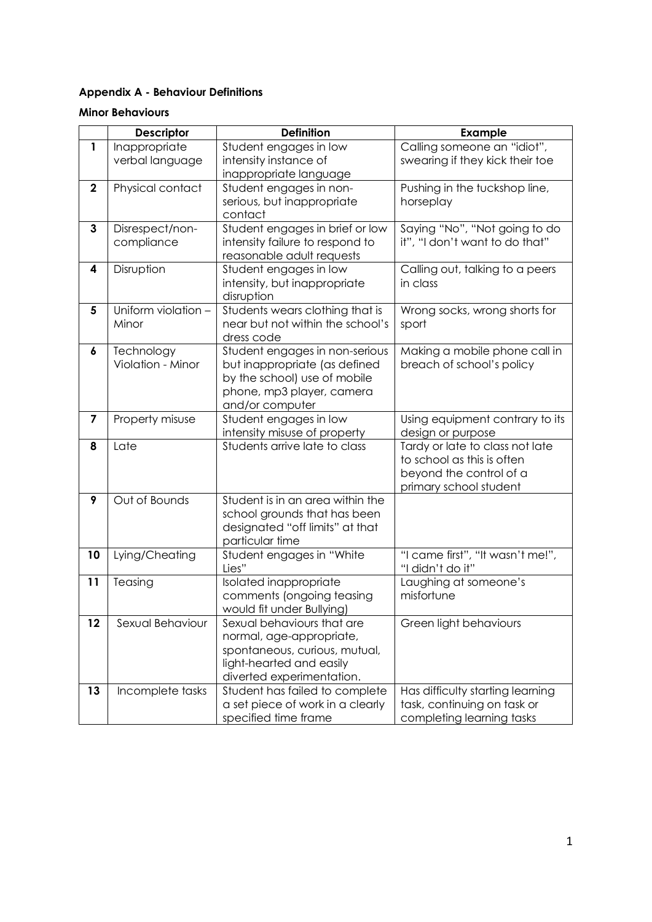# **Appendix A - Behaviour Definitions**

#### **Minor Behaviours**

|                                 | <b>Descriptor</b>         | <b>Definition</b>                          | <b>Example</b>                                       |  |
|---------------------------------|---------------------------|--------------------------------------------|------------------------------------------------------|--|
| $\mathbf{1}$                    | Inappropriate             | Student engages in low                     | Calling someone an "idiot",                          |  |
|                                 | verbal language           | intensity instance of                      | swearing if they kick their toe                      |  |
|                                 |                           | inappropriate language                     |                                                      |  |
| $\mathbf 2$                     | Physical contact          | Student engages in non-                    | Pushing in the tuckshop line,                        |  |
|                                 |                           | serious, but inappropriate                 | horseplay                                            |  |
|                                 |                           | contact                                    |                                                      |  |
| 3                               | Disrespect/non-           | Student engages in brief or low            | Saying "No", "Not going to do                        |  |
|                                 | compliance                | intensity failure to respond to            | it", "I don't want to do that"                       |  |
|                                 |                           | reasonable adult requests                  |                                                      |  |
| 4                               | Disruption                | Student engages in low                     | Calling out, talking to a peers<br>in class          |  |
|                                 |                           | intensity, but inappropriate<br>disruption |                                                      |  |
| 5                               | Uniform violation -       | Students wears clothing that is            | Wrong socks, wrong shorts for                        |  |
|                                 | Minor                     | near but not within the school's           | sport                                                |  |
|                                 |                           | dress code                                 |                                                      |  |
| 6                               | Technology                | Student engages in non-serious             | Making a mobile phone call in                        |  |
|                                 | Violation - Minor         | but inappropriate (as defined              | breach of school's policy                            |  |
|                                 |                           | by the school) use of mobile               |                                                      |  |
|                                 | phone, mp3 player, camera |                                            |                                                      |  |
|                                 |                           | and/or computer                            |                                                      |  |
| $\overline{\mathbf{z}}$         | Property misuse           | Student engages in low                     | Using equipment contrary to its                      |  |
|                                 |                           | intensity misuse of property               | design or purpose                                    |  |
| 8                               | Late                      | Students arrive late to class              | Tardy or late to class not late                      |  |
|                                 |                           |                                            | to school as this is often                           |  |
|                                 |                           |                                            | beyond the control of a                              |  |
|                                 |                           |                                            | primary school student                               |  |
| 9                               | Out of Bounds             | Student is in an area within the           |                                                      |  |
|                                 |                           | school grounds that has been               |                                                      |  |
| designated "off limits" at that |                           |                                            |                                                      |  |
|                                 |                           | particular time                            |                                                      |  |
| 10                              | Lying/Cheating            | Student engages in "White<br>Lies"         | "I came first", "It wasn't me!",<br>"I didn't do it" |  |
| 11                              | Teasing                   | Isolated inappropriate                     | Laughing at someone's                                |  |
|                                 |                           | comments (ongoing teasing                  | misfortune                                           |  |
|                                 |                           | would fit under Bullying)                  |                                                      |  |
| 12                              | Sexual Behaviour          | Sexual behaviours that are                 | Green light behaviours                               |  |
|                                 |                           | normal, age-appropriate,                   |                                                      |  |
|                                 |                           | spontaneous, curious, mutual,              |                                                      |  |
|                                 | light-hearted and easily  |                                            |                                                      |  |
|                                 |                           | diverted experimentation.                  |                                                      |  |
| 13                              | Incomplete tasks          | Student has failed to complete             | Has difficulty starting learning                     |  |
|                                 |                           | a set piece of work in a clearly           | task, continuing on task or                          |  |
|                                 | specified time frame      |                                            | completing learning tasks                            |  |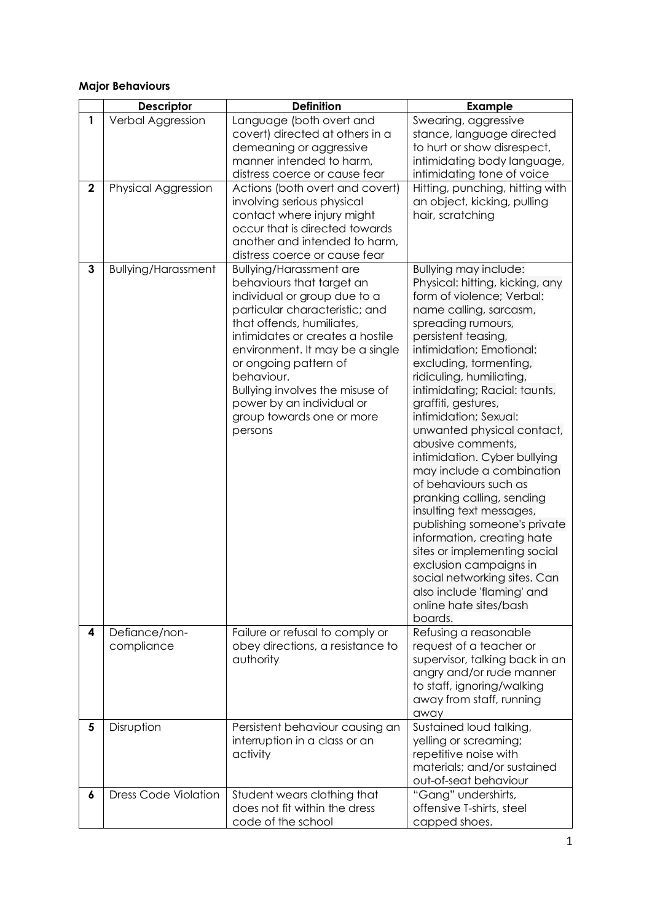# **Major Behaviours**

|             | <b>Descriptor</b>           | <b>Definition</b>                                                                                                                                                                                                                                                                                                                                                                | <b>Example</b>                                                                                                                                                                                                                                                                                                                                                                                                                                                                                                                                                                                                                                                                                                                                               |
|-------------|-----------------------------|----------------------------------------------------------------------------------------------------------------------------------------------------------------------------------------------------------------------------------------------------------------------------------------------------------------------------------------------------------------------------------|--------------------------------------------------------------------------------------------------------------------------------------------------------------------------------------------------------------------------------------------------------------------------------------------------------------------------------------------------------------------------------------------------------------------------------------------------------------------------------------------------------------------------------------------------------------------------------------------------------------------------------------------------------------------------------------------------------------------------------------------------------------|
| 1           | Verbal Aggression           | Language (both overt and<br>covert) directed at others in a<br>demeaning or aggressive<br>manner intended to harm,<br>distress coerce or cause fear                                                                                                                                                                                                                              | Swearing, aggressive<br>stance, language directed<br>to hurt or show disrespect,<br>intimidating body language,<br>intimidating tone of voice                                                                                                                                                                                                                                                                                                                                                                                                                                                                                                                                                                                                                |
| $\mathbf 2$ | Physical Aggression         | Actions (both overt and covert)<br>involving serious physical<br>contact where injury might<br>occur that is directed towards<br>another and intended to harm,<br>distress coerce or cause fear                                                                                                                                                                                  | Hitting, punching, hitting with<br>an object, kicking, pulling<br>hair, scratching                                                                                                                                                                                                                                                                                                                                                                                                                                                                                                                                                                                                                                                                           |
| 3           | <b>Bullying/Harassment</b>  | <b>Bullying/Harassment are</b><br>behaviours that target an<br>individual or group due to a<br>particular characteristic; and<br>that offends, humiliates,<br>intimidates or creates a hostile<br>environment. It may be a single<br>or ongoing pattern of<br>behaviour.<br>Bullying involves the misuse of<br>power by an individual or<br>group towards one or more<br>persons | Bullying may include:<br>Physical: hitting, kicking, any<br>form of violence; Verbal:<br>name calling, sarcasm,<br>spreading rumours,<br>persistent teasing,<br>intimidation; Emotional:<br>excluding, tormenting,<br>ridiculing, humiliating,<br>intimidating; Racial: taunts,<br>graffiti, gestures,<br>intimidation; Sexual:<br>unwanted physical contact,<br>abusive comments,<br>intimidation. Cyber bullying<br>may include a combination<br>of behaviours such as<br>pranking calling, sending<br>insulting text messages,<br>publishing someone's private<br>information, creating hate<br>sites or implementing social<br>exclusion campaigns in<br>social networking sites. Can<br>also include 'flaming' and<br>online hate sites/bash<br>boards. |
| 4           | Defiance/non-<br>compliance | Failure or refusal to comply or<br>obey directions, a resistance to<br>authority                                                                                                                                                                                                                                                                                                 | Refusing a reasonable<br>request of a teacher or<br>supervisor, talking back in an<br>angry and/or rude manner<br>to staff, ignoring/walking<br>away from staff, running<br>away                                                                                                                                                                                                                                                                                                                                                                                                                                                                                                                                                                             |
| 5           | Disruption                  | Persistent behaviour causing an<br>interruption in a class or an<br>activity                                                                                                                                                                                                                                                                                                     | Sustained loud talking,<br>yelling or screaming;<br>repetitive noise with<br>materials; and/or sustained<br>out-of-seat behaviour                                                                                                                                                                                                                                                                                                                                                                                                                                                                                                                                                                                                                            |
| 6           | <b>Dress Code Violation</b> | Student wears clothing that<br>does not fit within the dress<br>code of the school                                                                                                                                                                                                                                                                                               | "Gang" undershirts,<br>offensive T-shirts, steel<br>capped shoes.                                                                                                                                                                                                                                                                                                                                                                                                                                                                                                                                                                                                                                                                                            |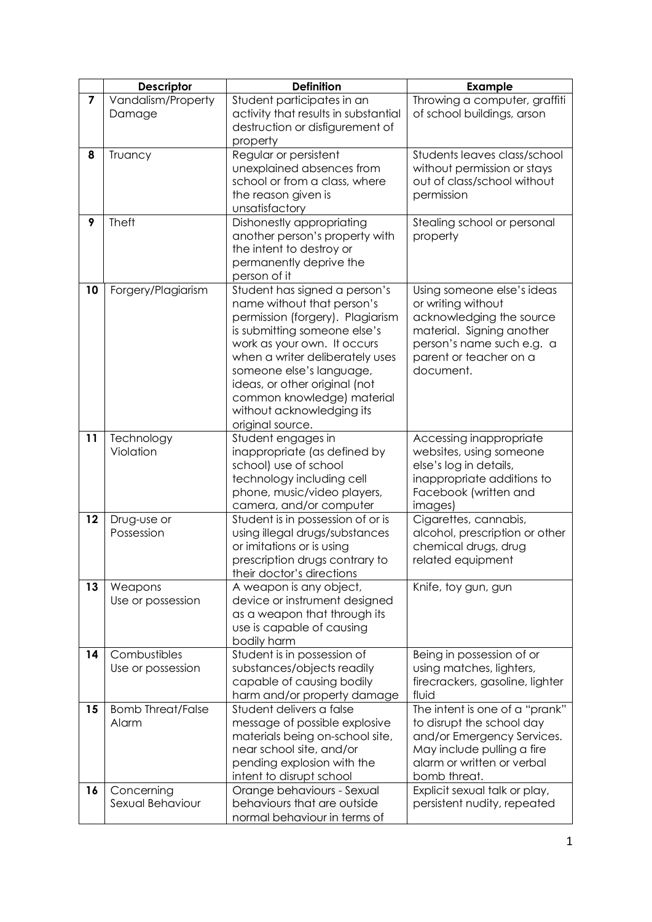|    | <b>Descriptor</b>                 | <b>Definition</b>                                                                                                                                                                                                                                                                                                                             | <b>Example</b>                                                                                                                                                                |
|----|-----------------------------------|-----------------------------------------------------------------------------------------------------------------------------------------------------------------------------------------------------------------------------------------------------------------------------------------------------------------------------------------------|-------------------------------------------------------------------------------------------------------------------------------------------------------------------------------|
| 7  | Vandalism/Property<br>Damage      | Student participates in an<br>activity that results in substantial<br>destruction or disfigurement of<br>property                                                                                                                                                                                                                             | Throwing a computer, graffiti<br>of school buildings, arson                                                                                                                   |
| 8  | Truancy                           | Regular or persistent<br>unexplained absences from<br>school or from a class, where<br>the reason given is<br>unsatisfactory                                                                                                                                                                                                                  | Students leaves class/school<br>without permission or stays<br>out of class/school without<br>permission                                                                      |
| 9  | <b>Theft</b>                      | Dishonestly appropriating<br>another person's property with<br>the intent to destroy or<br>permanently deprive the<br>person of it                                                                                                                                                                                                            | Stealing school or personal<br>property                                                                                                                                       |
| 10 | Forgery/Plagiarism                | Student has signed a person's<br>name without that person's<br>permission (forgery). Plagiarism<br>is submitting someone else's<br>work as your own. It occurs<br>when a writer deliberately uses<br>someone else's language,<br>ideas, or other original (not<br>common knowledge) material<br>without acknowledging its<br>original source. | Using someone else's ideas<br>or writing without<br>acknowledging the source<br>material. Signing another<br>person's name such e.g. a<br>parent or teacher on a<br>document. |
| 11 | Technology<br>Violation           | Student engages in<br>inappropriate (as defined by<br>school) use of school<br>technology including cell<br>phone, music/video players,<br>camera, and/or computer                                                                                                                                                                            | Accessing inappropriate<br>websites, using someone<br>else's log in details,<br>inappropriate additions to<br>Facebook (written and<br>images)                                |
| 12 | Drug-use or<br>Possession         | Student is in possession of or is<br>using illegal drugs/substances<br>or imitations or is using<br>prescription drugs contrary to<br>their doctor's directions                                                                                                                                                                               | Cigarettes, cannabis,<br>alcohol, prescription or other<br>chemical drugs, drug<br>related equipment                                                                          |
| 13 | Weapons<br>Use or possession      | A weapon is any object,<br>device or instrument designed<br>as a weapon that through its<br>use is capable of causing<br>bodily harm                                                                                                                                                                                                          | Knife, toy gun, gun                                                                                                                                                           |
| 14 | Combustibles<br>Use or possession | Student is in possession of<br>substances/objects readily<br>capable of causing bodily<br>harm and/or property damage                                                                                                                                                                                                                         | Being in possession of or<br>using matches, lighters,<br>firecrackers, gasoline, lighter<br>fluid                                                                             |
| 15 | <b>Bomb Threat/False</b><br>Alarm | Student delivers a false<br>message of possible explosive<br>materials being on-school site,<br>near school site, and/or<br>pending explosion with the<br>intent to disrupt school                                                                                                                                                            | The intent is one of a "prank"<br>to disrupt the school day<br>and/or Emergency Services.<br>May include pulling a fire<br>alarm or written or verbal<br>bomb threat.         |
| 16 | Concerning<br>Sexual Behaviour    | Orange behaviours - Sexual<br>behaviours that are outside<br>normal behaviour in terms of                                                                                                                                                                                                                                                     | Explicit sexual talk or play,<br>persistent nudity, repeated                                                                                                                  |